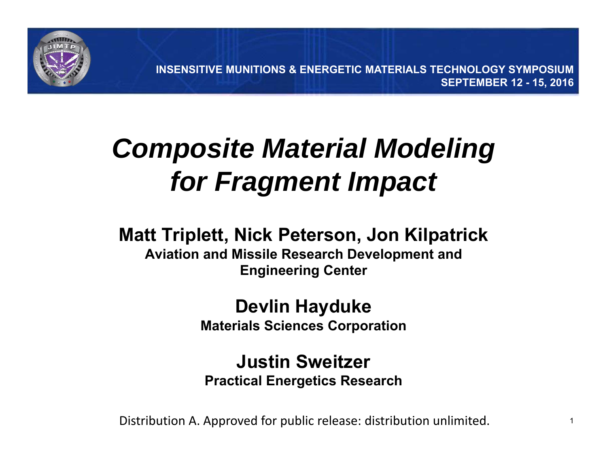

**INSENSITIVE MUNITIONS & ENERGETIC MATERIALS TECHNOLOGY SYMPOSIUMSEPTEMBER 12 - 15, 2016**

## *Composite Material Modeling for Fragment Impact*

#### **Matt Triplett, Nick Peterson, Jon Kilpatrick**

**Aviation and Missile Research Development and Engineering Center**

#### **Devlin Hayduke Materials Sciences Corporation**

#### **Justin SweitzerPractical Energetics Research**

Distribution A. Approved for public release: distribution unlimited.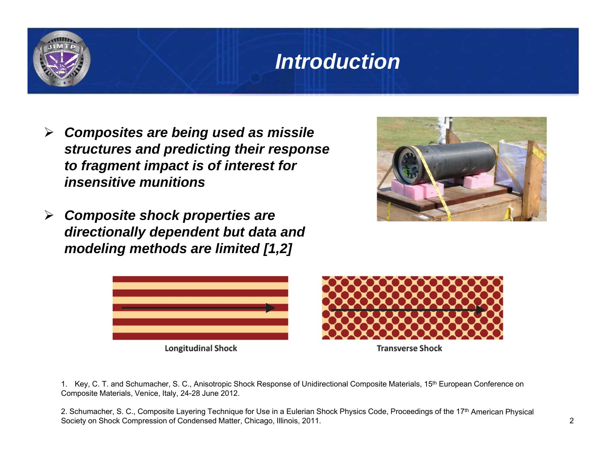#### *Introduction*

- $\blacktriangleright$  *Composites are being used as missile structures and predicting their response to fragment impact is of interest for insensitive munitions*
- *Composite shock properties are directionally dependent but data and modeling methods are limited [1,2]*





**Longitudinal Shock** 



**Transverse Shock** 

1. Key, C. T. and Schumacher, S. C., Anisotropic Shock Response of Unidirectional Composite Materials, 15<sup>th</sup> European Conference on Composite Materials, Venice, Italy, 24-28 June 2012.

2. Schumacher, S. C., Composite Layering Technique for Use in a Eulerian Shock Physics Code, Proceedings of the 17<sup>th</sup> American Physical Society on Shock Compression of Condensed Matter, Chicago, Illinois, 2011.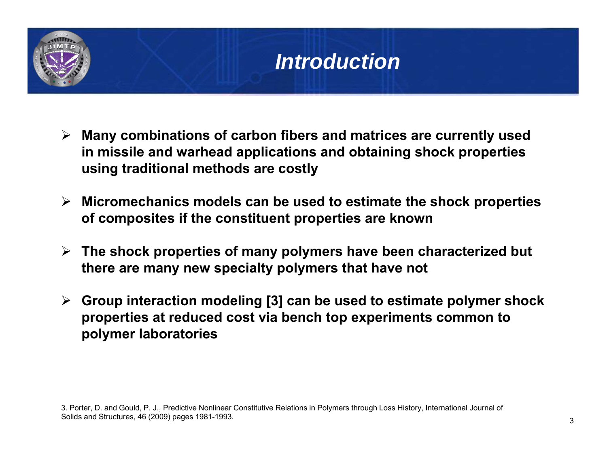## *Introduction*

- **Many combinations of carbon fibers and matrices are currently used in missile and warhead applications and obtaining shock properties using traditional methods are costly**
- **Micromechanics models can be used to estimate the shock properties of composites if the constituent properties are known**
- **The shock properties of many polymers have been characterized but there are many new specialty polymers that have not**
- **Group interaction modeling [3] can be used to estimate polymer shock properties at reduced cost via bench top experiments common to polymer laboratories**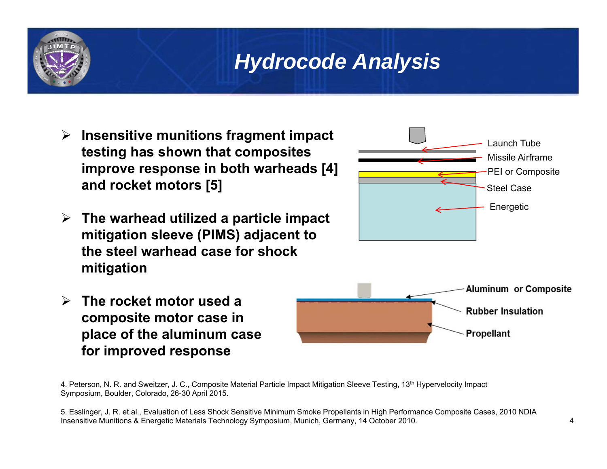- **Insensitive munitions fragment impact testing has shown that composites improve response in both warheads [4] and rocket motors [5]**
- **The warhead utilized a particle impact mitigation sleeve (PIMS) adjacent to the steel warhead case for shock mitigation**



 **The rocket motor used a composite motor case in place of the aluminum case for improved response**



4. Peterson, N. R. and Sweitzer, J. C., Composite Material Particle Impact Mitigation Sleeve Testing, 13th Hypervelocity Impact Symposium, Boulder, Colorado, 26-30 April 2015.

5. Esslinger, J. R. et.al., Evaluation of Less Shock Sensitive Minimum Smoke Propellants in High Performance Composite Cases, 2010 NDIA Insensitive Munitions & Energetic Materials Technology Symposium, Munich, Germany, 14 October 2010.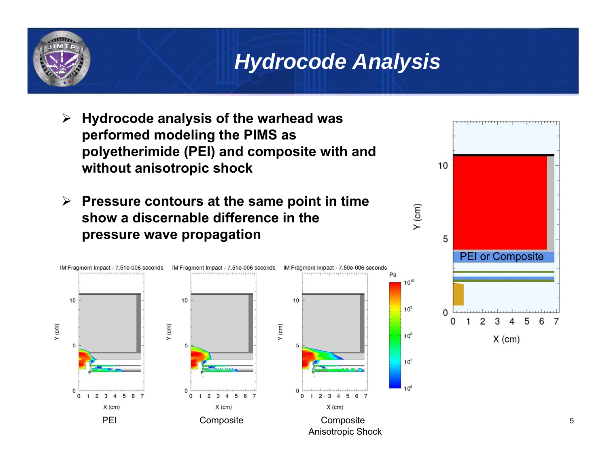

- $\blacktriangleright$  **Hydrocode analysis of the warhead was performed modeling the PIMS as polyetherimide (PEI) and composite with and without anisotropic shock**
- **Pressure contours at the same point in time show a discernable difference in the pressure wave propagation**





 $Y$  (cm)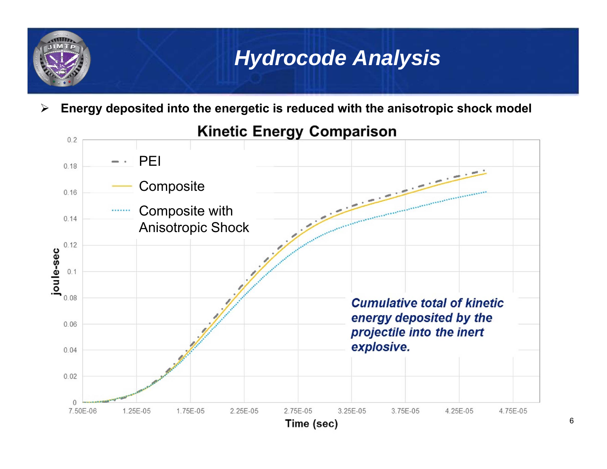$\blacktriangleright$ **Energy deposited into the energetic is reduced with the anisotropic shock model**

#### **Kinetic Energy Comparison**

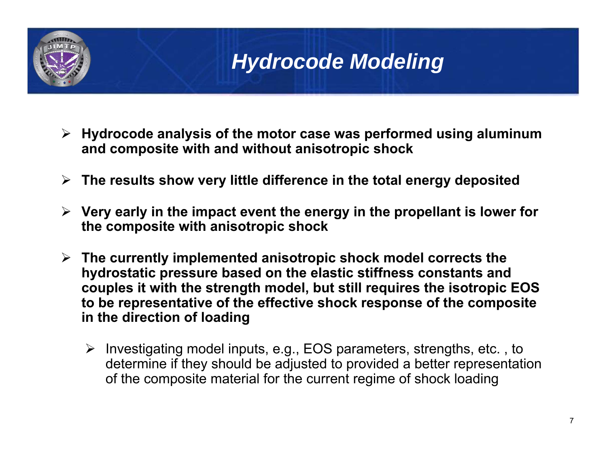

## *Hydrocode Modeling*

- **Hydrocode analysis of the motor case was performed using aluminum and composite with and without anisotropic shock**
- **The results show very little difference in the total energy deposited**
- **Very early in the impact event the energy in the propellant is lower for the composite with anisotropic shock**
- **The currently implemented anisotropic shock model corrects the hydrostatic pressure based on the elastic stiffness constants and couples it with the strength model, but still requires the isotropic EOS to be representative of the effective shock response of the composite in the direction of loading**
	- $\triangleright$  Investigating model inputs, e.g., EOS parameters, strengths, etc., to determine if they should be adjusted to provided a better representation of the composite material for the current regime of shock loading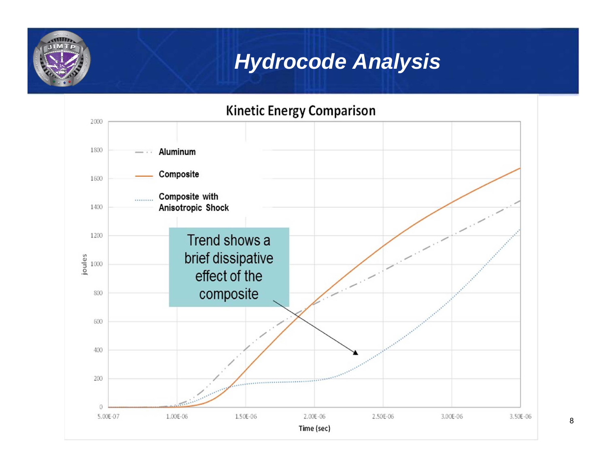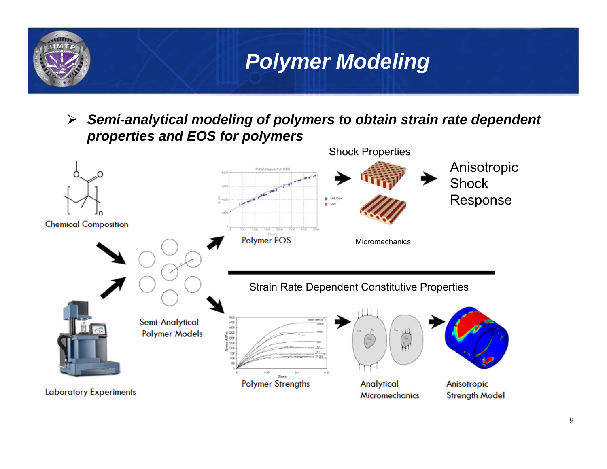

 $\blacktriangleright$  *Semi-analytical modeling of polymers to obtain strain rate dependent properties and EOS for polymers*

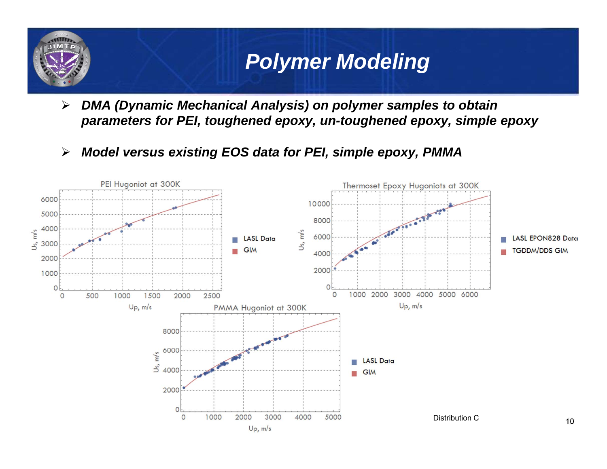# *Polymer Modeling*

 $\blacktriangleright$  *DMA (Dynamic Mechanical Analysis) on polymer samples to obtain parameters for PEI, toughened epoxy, un-toughened epoxy, simple epoxy*

 $\blacktriangleright$ *Model versus existing EOS data for PEI, simple epoxy, PMMA*

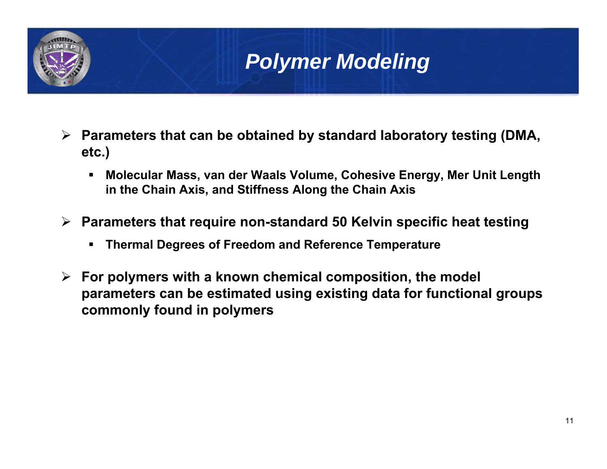## *Polymer Modeling*

- **Parameters that can be obtained by standard laboratory testing (DMA, etc.)**
	- П **Molecular Mass, van der Waals Volume, Cohesive Energy, Mer Unit Length in the Chain Axis, and Stiffness Along the Chain Axis**
- **Parameters that require non-standard 50 Kelvin specific heat testing**
	- **Thermal Degrees of Freedom and Reference Temperature**
- **For polymers with a known chemical composition, the model parameters can be estimated using existing data for functional groups commonly found in polymers**